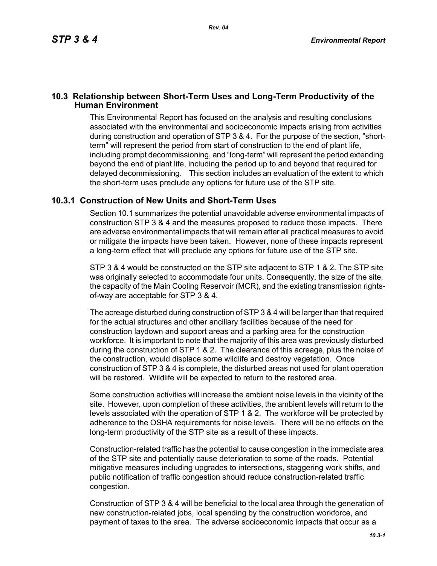## **10.3 Relationship between Short-Term Uses and Long-Term Productivity of the Human Environment**

This Environmental Report has focused on the analysis and resulting conclusions associated with the environmental and socioeconomic impacts arising from activities during construction and operation of STP 3 & 4. For the purpose of the section, "shortterm" will represent the period from start of construction to the end of plant life, including prompt decommissioning, and "long-term" will represent the period extending beyond the end of plant life, including the period up to and beyond that required for delayed decommissioning. This section includes an evaluation of the extent to which the short-term uses preclude any options for future use of the STP site.

## **10.3.1 Construction of New Units and Short-Term Uses**

Section 10.1 summarizes the potential unavoidable adverse environmental impacts of construction STP 3 & 4 and the measures proposed to reduce those impacts. There are adverse environmental impacts that will remain after all practical measures to avoid or mitigate the impacts have been taken. However, none of these impacts represent a long-term effect that will preclude any options for future use of the STP site.

STP 3 & 4 would be constructed on the STP site adjacent to STP 1 & 2. The STP site was originally selected to accommodate four units. Consequently, the size of the site, the capacity of the Main Cooling Reservoir (MCR), and the existing transmission rightsof-way are acceptable for STP 3 & 4.

The acreage disturbed during construction of STP 3 & 4 will be larger than that required for the actual structures and other ancillary facilities because of the need for construction laydown and support areas and a parking area for the construction workforce. It is important to note that the majority of this area was previously disturbed during the construction of STP 1 & 2. The clearance of this acreage, plus the noise of the construction, would displace some wildlife and destroy vegetation. Once construction of STP 3 & 4 is complete, the disturbed areas not used for plant operation will be restored. Wildlife will be expected to return to the restored area.

Some construction activities will increase the ambient noise levels in the vicinity of the site. However, upon completion of these activities, the ambient levels will return to the levels associated with the operation of STP 1 & 2. The workforce will be protected by adherence to the OSHA requirements for noise levels. There will be no effects on the long-term productivity of the STP site as a result of these impacts.

Construction-related traffic has the potential to cause congestion in the immediate area of the STP site and potentially cause deterioration to some of the roads. Potential mitigative measures including upgrades to intersections, staggering work shifts, and public notification of traffic congestion should reduce construction-related traffic congestion.

Construction of STP 3 & 4 will be beneficial to the local area through the generation of new construction-related jobs, local spending by the construction workforce, and payment of taxes to the area. The adverse socioeconomic impacts that occur as a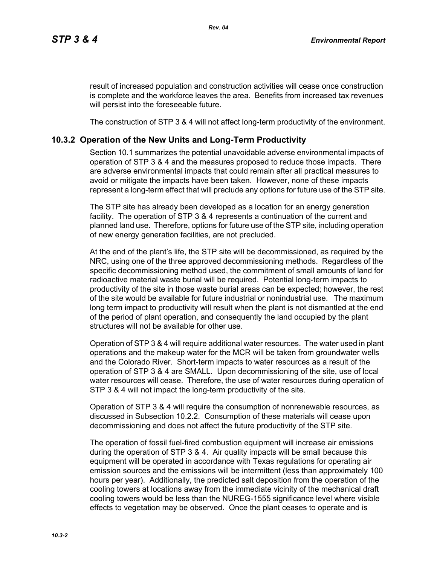result of increased population and construction activities will cease once construction is complete and the workforce leaves the area. Benefits from increased tax revenues will persist into the foreseeable future.

The construction of STP 3 & 4 will not affect long-term productivity of the environment.

## **10.3.2 Operation of the New Units and Long-Term Productivity**

Section 10.1 summarizes the potential unavoidable adverse environmental impacts of operation of STP 3 & 4 and the measures proposed to reduce those impacts. There are adverse environmental impacts that could remain after all practical measures to avoid or mitigate the impacts have been taken. However, none of these impacts represent a long-term effect that will preclude any options for future use of the STP site.

The STP site has already been developed as a location for an energy generation facility. The operation of STP 3 & 4 represents a continuation of the current and planned land use. Therefore, options for future use of the STP site, including operation of new energy generation facilities, are not precluded.

At the end of the plant's life, the STP site will be decommissioned, as required by the NRC, using one of the three approved decommissioning methods. Regardless of the specific decommissioning method used, the commitment of small amounts of land for radioactive material waste burial will be required. Potential long-term impacts to productivity of the site in those waste burial areas can be expected; however, the rest of the site would be available for future industrial or nonindustrial use. The maximum long term impact to productivity will result when the plant is not dismantled at the end of the period of plant operation, and consequently the land occupied by the plant structures will not be available for other use.

Operation of STP 3 & 4 will require additional water resources. The water used in plant operations and the makeup water for the MCR will be taken from groundwater wells and the Colorado River. Short-term impacts to water resources as a result of the operation of STP 3 & 4 are SMALL. Upon decommissioning of the site, use of local water resources will cease. Therefore, the use of water resources during operation of STP 3 & 4 will not impact the long-term productivity of the site.

Operation of STP 3 & 4 will require the consumption of nonrenewable resources, as discussed in Subsection 10.2.2. Consumption of these materials will cease upon decommissioning and does not affect the future productivity of the STP site.

The operation of fossil fuel-fired combustion equipment will increase air emissions during the operation of STP 3 & 4. Air quality impacts will be small because this equipment will be operated in accordance with Texas regulations for operating air emission sources and the emissions will be intermittent (less than approximately 100 hours per year). Additionally, the predicted salt deposition from the operation of the cooling towers at locations away from the immediate vicinity of the mechanical draft cooling towers would be less than the NUREG-1555 significance level where visible effects to vegetation may be observed. Once the plant ceases to operate and is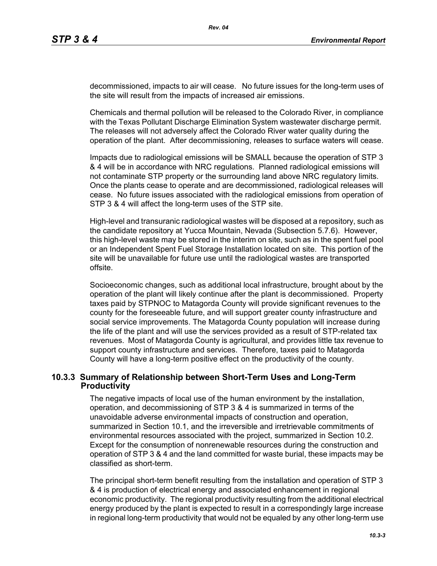decommissioned, impacts to air will cease. No future issues for the long-term uses of the site will result from the impacts of increased air emissions.

Chemicals and thermal pollution will be released to the Colorado River, in compliance with the Texas Pollutant Discharge Elimination System wastewater discharge permit. The releases will not adversely affect the Colorado River water quality during the operation of the plant. After decommissioning, releases to surface waters will cease.

Impacts due to radiological emissions will be SMALL because the operation of STP 3 & 4 will be in accordance with NRC regulations. Planned radiological emissions will not contaminate STP property or the surrounding land above NRC regulatory limits. Once the plants cease to operate and are decommissioned, radiological releases will cease. No future issues associated with the radiological emissions from operation of STP 3 & 4 will affect the long-term uses of the STP site.

High-level and transuranic radiological wastes will be disposed at a repository, such as the candidate repository at Yucca Mountain, Nevada (Subsection 5.7.6). However, this high-level waste may be stored in the interim on site, such as in the spent fuel pool or an Independent Spent Fuel Storage Installation located on site. This portion of the site will be unavailable for future use until the radiological wastes are transported offsite.

Socioeconomic changes, such as additional local infrastructure, brought about by the operation of the plant will likely continue after the plant is decommissioned. Property taxes paid by STPNOC to Matagorda County will provide significant revenues to the county for the foreseeable future, and will support greater county infrastructure and social service improvements. The Matagorda County population will increase during the life of the plant and will use the services provided as a result of STP-related tax revenues. Most of Matagorda County is agricultural, and provides little tax revenue to support county infrastructure and services. Therefore, taxes paid to Matagorda County will have a long-term positive effect on the productivity of the county.

## **10.3.3 Summary of Relationship between Short-Term Uses and Long-Term Productivity**

The negative impacts of local use of the human environment by the installation, operation, and decommissioning of STP 3 & 4 is summarized in terms of the unavoidable adverse environmental impacts of construction and operation, summarized in Section 10.1, and the irreversible and irretrievable commitments of environmental resources associated with the project, summarized in Section 10.2. Except for the consumption of nonrenewable resources during the construction and operation of STP 3 & 4 and the land committed for waste burial, these impacts may be classified as short-term.

The principal short-term benefit resulting from the installation and operation of STP 3 & 4 is production of electrical energy and associated enhancement in regional economic productivity. The regional productivity resulting from the additional electrical energy produced by the plant is expected to result in a correspondingly large increase in regional long-term productivity that would not be equaled by any other long-term use